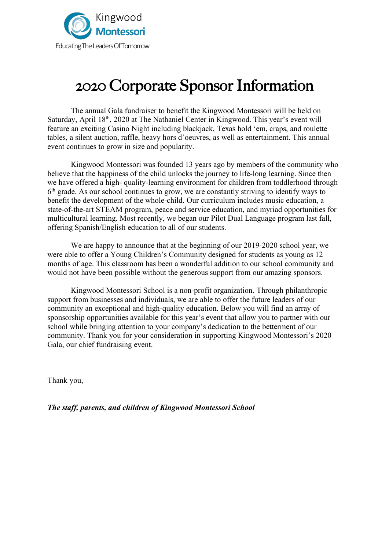

# 2020 Corporate Sponsor Information

The annual Gala fundraiser to benefit the Kingwood Montessori will be held on Saturday, April 18<sup>th</sup>, 2020 at The Nathaniel Center in Kingwood. This year's event will feature an exciting Casino Night including blackjack, Texas hold 'em, craps, and roulette tables, a silent auction, raffle, heavy hors d'oeuvres, as well as entertainment. This annual event continues to grow in size and popularity.

Kingwood Montessori was founded 13 years ago by members of the community who believe that the happiness of the child unlocks the journey to life-long learning. Since then we have offered a high- quality-learning environment for children from toddlerhood through  $6<sup>th</sup>$  grade. As our school continues to grow, we are constantly striving to identify ways to benefit the development of the whole-child. Our curriculum includes music education, a state-of-the-art STEAM program, peace and service education, and myriad opportunities for multicultural learning. Most recently, we began our Pilot Dual Language program last fall, offering Spanish/English education to all of our students.

We are happy to announce that at the beginning of our 2019-2020 school year, we were able to offer a Young Children's Community designed for students as young as 12 months of age. This classroom has been a wonderful addition to our school community and would not have been possible without the generous support from our amazing sponsors.

Kingwood Montessori School is a non-profit organization. Through philanthropic support from businesses and individuals, we are able to offer the future leaders of our community an exceptional and high-quality education. Below you will find an array of sponsorship opportunities available for this year's event that allow you to partner with our school while bringing attention to your company's dedication to the betterment of our community. Thank you for your consideration in supporting Kingwood Montessori's 2020 Gala, our chief fundraising event.

Thank you,

*The staff, parents, and children of Kingwood Montessori School*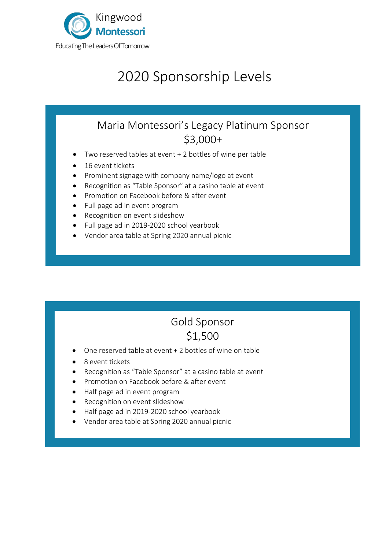

l.

Ĩ

 $\overline{a}$ 

# 2020 Sponsorship Levels

### Maria Montessori's Legacy Platinum Sponsor \$3,000+

- Two reserved tables at event + 2 bottles of wine per table
- 16 event tickets
- Prominent signage with company name/logo at event
- Recognition as "Table Sponsor" at a casino table at event
- Promotion on Facebook before & after event
- Full page ad in event program
- Recognition on event slideshow
- Full page ad in 2019-2020 school yearbook
- Vendor area table at Spring 2020 annual picnic

## Gold Sponsor \$1,500

- One reserved table at event + 2 bottles of wine on table
- 8 event tickets
- Recognition as "Table Sponsor" at a casino table at event
- Promotion on Facebook before & after event
- Half page ad in event program
- Recognition on event slideshow
- Half page ad in 2019-2020 school yearbook
- Vendor area table at Spring 2020 annual picnic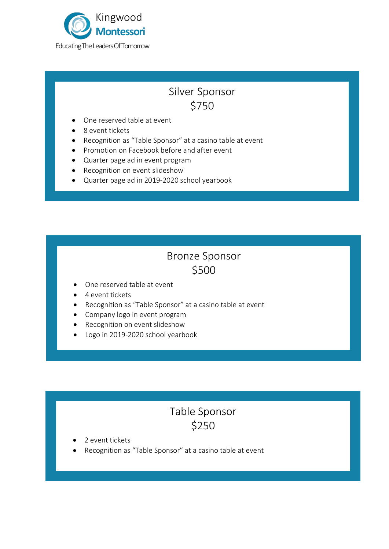

### Silver Sponsor \$750

- One reserved table at event
- 8 event tickets
- Recognition as "Table Sponsor" at a casino table at event
- Promotion on Facebook before and after event
- Quarter page ad in event program
- Recognition on event slideshow
- Quarter page ad in 2019-2020 school yearbook

#### Bronze Sponsor \$500

- One reserved table at event
- 4 event tickets
- Recognition as "Table Sponsor" at a casino table at event
- Company logo in event program
- Recognition on event slideshow
- Logo in 2019-2020 school yearbook

### Table Sponsor \$250

- 2 event tickets
- Recognition as "Table Sponsor" at a casino table at event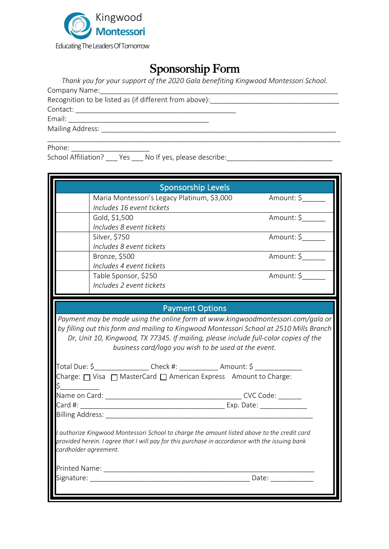

### Sponsorship Form

*Thank you for your support of the 2020 Gala benefiting Kingwood Montessori School.*

\_\_\_\_\_\_\_\_\_\_\_\_\_\_\_\_\_\_\_\_\_\_\_\_\_\_\_\_\_\_\_\_\_\_\_\_\_\_\_\_\_\_\_\_\_\_\_\_\_\_\_\_\_\_\_\_\_\_\_\_\_\_\_\_\_\_\_\_\_\_\_\_\_\_\_

Company Name:\_\_\_\_\_\_\_\_\_\_\_\_\_\_\_\_\_\_\_\_\_\_\_\_\_\_\_\_\_\_\_\_\_\_\_\_\_\_\_\_\_\_\_\_\_\_\_\_\_\_\_\_\_\_\_\_\_\_\_\_\_ Recognition to be listed as (if different from above): Contact: \_\_\_\_\_\_\_\_\_\_\_\_\_\_\_\_\_\_\_\_\_\_\_\_\_\_\_\_\_\_\_\_\_\_\_\_\_\_\_\_\_ Email: \_\_\_\_\_\_\_\_\_\_\_\_\_\_\_\_\_\_\_\_\_\_\_\_\_\_\_\_\_\_\_\_\_\_\_\_

Mailing Address: \_\_\_\_\_\_\_\_\_\_\_\_\_\_\_\_\_\_\_\_\_\_\_\_\_\_\_\_\_\_\_\_\_\_\_\_\_\_\_\_\_\_\_\_\_\_\_\_\_\_\_\_\_\_\_\_\_\_\_\_

Phone:

School Affiliation? \_\_\_ Yes \_\_\_ No If yes, please describe: \_\_\_\_\_\_\_\_\_\_\_\_\_\_\_\_\_\_\_\_\_

| <b>Sponsorship Levels</b>                                                                                                                                                                     |                                             |            |
|-----------------------------------------------------------------------------------------------------------------------------------------------------------------------------------------------|---------------------------------------------|------------|
|                                                                                                                                                                                               | Maria Montessori's Legacy Platinum, \$3,000 | Amount: \$ |
|                                                                                                                                                                                               | Includes 16 event tickets                   |            |
|                                                                                                                                                                                               | Gold, \$1,500<br>Includes 8 event tickets   | Amount: \$ |
|                                                                                                                                                                                               | Silver, \$750                               | Amount: \$ |
|                                                                                                                                                                                               | Includes 8 event tickets                    |            |
|                                                                                                                                                                                               | Bronze, \$500                               | Amount: \$ |
|                                                                                                                                                                                               | Includes 4 event tickets                    |            |
|                                                                                                                                                                                               | Table Sponsor, \$250                        | Amount: \$ |
|                                                                                                                                                                                               | Includes 2 event tickets                    |            |
|                                                                                                                                                                                               |                                             |            |
| <b>Payment Options</b>                                                                                                                                                                        |                                             |            |
| Payment may be made using the online form at www.kingwoodmontessori.com/gala or                                                                                                               |                                             |            |
| by filling out this form and mailing to Kingwood Montessori School at 2510 Mills Branch                                                                                                       |                                             |            |
| Dr, Unit 10, Kingwood, TX 77345. If mailing, please include full-color copies of the                                                                                                          |                                             |            |
| business card/logo you wish to be used at the event.                                                                                                                                          |                                             |            |
|                                                                                                                                                                                               |                                             |            |
| Charge: $\Box$ Visa $\Box$ MasterCard $\Box$ American Express Amount to Charge:                                                                                                               |                                             |            |
|                                                                                                                                                                                               |                                             |            |
|                                                                                                                                                                                               |                                             |            |
|                                                                                                                                                                                               |                                             |            |
|                                                                                                                                                                                               |                                             |            |
|                                                                                                                                                                                               |                                             |            |
| I authorize Kingwood Montessori School to charge the amount listed above to the credit card<br>provided herein. I agree that I will pay for this purchase in accordance with the issuing bank |                                             |            |
| cardholder agreement.                                                                                                                                                                         |                                             |            |
|                                                                                                                                                                                               |                                             |            |
|                                                                                                                                                                                               |                                             |            |
|                                                                                                                                                                                               |                                             |            |
|                                                                                                                                                                                               |                                             |            |
|                                                                                                                                                                                               |                                             |            |